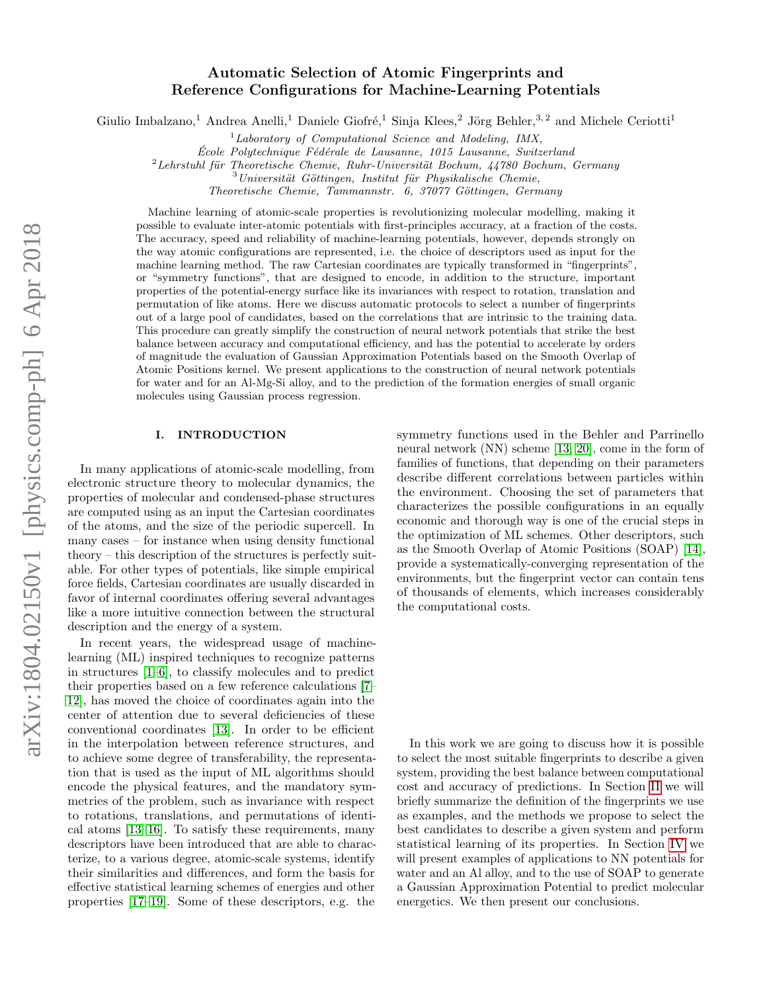# Automatic Selection of Atomic Fingerprints and Reference Configurations for Machine-Learning Potentials

Giulio Imbalzano,<sup>1</sup> Andrea Anelli,<sup>1</sup> Daniele Giofré,<sup>1</sup> Sinja Klees,<sup>2</sup> Jörg Behler,<sup>3, 2</sup> and Michele Ceriotti<sup>1</sup>

 $1$ Laboratory of Computational Science and Modeling, IMX,

 $\acute{E}$ cole Polytechnique Fédérale de Lausanne, 1015 Lausanne, Switzerland

 $2$ Lehrstuhl für Theoretische Chemie, Ruhr-Universität Bochum, 44780 Bochum, Germany

 $3$ Universität Göttingen, Institut für Physikalische Chemie,

Theoretische Chemie, Tammannstr. 6, 37077 Göttingen, Germany

Machine learning of atomic-scale properties is revolutionizing molecular modelling, making it possible to evaluate inter-atomic potentials with first-principles accuracy, at a fraction of the costs. The accuracy, speed and reliability of machine-learning potentials, however, depends strongly on the way atomic configurations are represented, i.e. the choice of descriptors used as input for the machine learning method. The raw Cartesian coordinates are typically transformed in "fingerprints" or "symmetry functions", that are designed to encode, in addition to the structure, important properties of the potential-energy surface like its invariances with respect to rotation, translation and permutation of like atoms. Here we discuss automatic protocols to select a number of fingerprints out of a large pool of candidates, based on the correlations that are intrinsic to the training data. This procedure can greatly simplify the construction of neural network potentials that strike the best balance between accuracy and computational efficiency, and has the potential to accelerate by orders of magnitude the evaluation of Gaussian Approximation Potentials based on the Smooth Overlap of Atomic Positions kernel. We present applications to the construction of neural network potentials for water and for an Al-Mg-Si alloy, and to the prediction of the formation energies of small organic molecules using Gaussian process regression.

## I. INTRODUCTION

In many applications of atomic-scale modelling, from electronic structure theory to molecular dynamics, the properties of molecular and condensed-phase structures are computed using as an input the Cartesian coordinates of the atoms, and the size of the periodic supercell. In many cases – for instance when using density functional theory – this description of the structures is perfectly suitable. For other types of potentials, like simple empirical force fields, Cartesian coordinates are usually discarded in favor of internal coordinates offering several advantages like a more intuitive connection between the structural description and the energy of a system.

In recent years, the widespread usage of machinelearning (ML) inspired techniques to recognize patterns in structures [\[1–](#page-9-0)[6\]](#page-9-1), to classify molecules and to predict their properties based on a few reference calculations [\[7–](#page-9-2) [12\]](#page-9-3), has moved the choice of coordinates again into the center of attention due to several deficiencies of these conventional coordinates [\[13\]](#page-9-4). In order to be efficient in the interpolation between reference structures, and to achieve some degree of transferability, the representation that is used as the input of ML algorithms should encode the physical features, and the mandatory symmetries of the problem, such as invariance with respect to rotations, translations, and permutations of identical atoms [\[13–](#page-9-4)[16\]](#page-9-5). To satisfy these requirements, many descriptors have been introduced that are able to characterize, to a various degree, atomic-scale systems, identify their similarities and differences, and form the basis for effective statistical learning schemes of energies and other properties [\[17](#page-9-6)[–19\]](#page-9-7). Some of these descriptors, e.g. the symmetry functions used in the Behler and Parrinello neural network (NN) scheme [\[13,](#page-9-4) [20\]](#page-9-8), come in the form of families of functions, that depending on their parameters describe different correlations between particles within the environment. Choosing the set of parameters that characterizes the possible configurations in an equally economic and thorough way is one of the crucial steps in the optimization of ML schemes. Other descriptors, such as the Smooth Overlap of Atomic Positions (SOAP) [\[14\]](#page-9-9), provide a systematically-converging representation of the environments, but the fingerprint vector can contain tens of thousands of elements, which increases considerably the computational costs.

In this work we are going to discuss how it is possible to select the most suitable fingerprints to describe a given system, providing the best balance between computational cost and accuracy of predictions. In Section [II](#page-1-0) we will briefly summarize the definition of the fingerprints we use as examples, and the methods we propose to select the best candidates to describe a given system and perform statistical learning of its properties. In Section [IV](#page-4-0) we will present examples of applications to NN potentials for water and an Al alloy, and to the use of SOAP to generate a Gaussian Approximation Potential to predict molecular energetics. We then present our conclusions.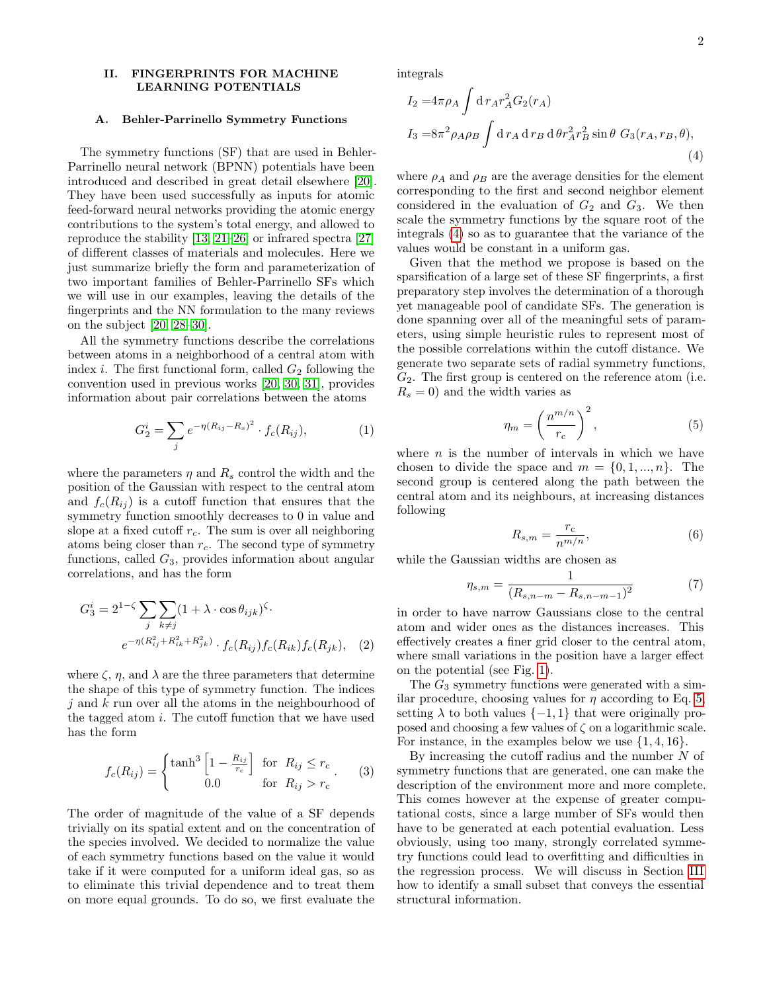## <span id="page-1-0"></span>II. FINGERPRINTS FOR MACHINE LEARNING POTENTIALS

#### A. Behler-Parrinello Symmetry Functions

The symmetry functions (SF) that are used in Behler-Parrinello neural network (BPNN) potentials have been introduced and described in great detail elsewhere [\[20\]](#page-9-8). They have been used successfully as inputs for atomic feed-forward neural networks providing the atomic energy contributions to the system's total energy, and allowed to reproduce the stability [\[13,](#page-9-4) [21–](#page-9-10)[26\]](#page-9-11) or infrared spectra [\[27\]](#page-9-12) of different classes of materials and molecules. Here we just summarize briefly the form and parameterization of two important families of Behler-Parrinello SFs which we will use in our examples, leaving the details of the fingerprints and the NN formulation to the many reviews on the subject [\[20,](#page-9-8) [28](#page-9-13)[–30\]](#page-9-14).

All the symmetry functions describe the correlations between atoms in a neighborhood of a central atom with index i. The first functional form, called  $G_2$  following the convention used in previous works [\[20,](#page-9-8) [30,](#page-9-14) [31\]](#page-9-15), provides information about pair correlations between the atoms

<span id="page-1-5"></span>
$$
G_2^i = \sum_j e^{-\eta (R_{ij} - R_s)^2} \cdot f_c(R_{ij}), \tag{1}
$$

where the parameters  $\eta$  and  $R_s$  control the width and the position of the Gaussian with respect to the central atom and  $f_c(R_{ij})$  is a cutoff function that ensures that the symmetry function smoothly decreases to 0 in value and slope at a fixed cutoff  $r_c$ . The sum is over all neighboring atoms being closer than  $r_c$ . The second type of symmetry functions, called  $G_3$ , provides information about angular correlations, and has the form

$$
G_3^i = 2^{1-\zeta} \sum_j \sum_{k \neq j} (1 + \lambda \cdot \cos \theta_{ijk})^{\zeta}.
$$
  

$$
e^{-\eta (R_{ij}^2 + R_{ik}^2 + R_{jk}^2)} \cdot f_c(R_{ij}) f_c(R_{ik}) f_c(R_{jk}), \quad (2)
$$

where  $\zeta$ ,  $\eta$ , and  $\lambda$  are the three parameters that determine the shape of this type of symmetry function. The indices  $j$  and  $k$  run over all the atoms in the neighbourhood of the tagged atom  $i$ . The cutoff function that we have used has the form

$$
f_c(R_{ij}) = \begin{cases} \tanh^3\left[1 - \frac{R_{ij}}{r_c}\right] & \text{for } R_{ij} \le r_c \\ 0.0 & \text{for } R_{ij} > r_c \end{cases} \tag{3}
$$

The order of magnitude of the value of a SF depends trivially on its spatial extent and on the concentration of the species involved. We decided to normalize the value of each symmetry functions based on the value it would take if it were computed for a uniform ideal gas, so as to eliminate this trivial dependence and to treat them on more equal grounds. To do so, we first evaluate the

integrals

<span id="page-1-1"></span>
$$
I_2 = 4\pi \rho_A \int d\,r_A r_A^2 G_2(r_A)
$$
  
\n
$$
I_3 = 8\pi^2 \rho_A \rho_B \int d\,r_A d\,r_B d\theta r_A^2 r_B^2 \sin\theta G_3(r_A, r_B, \theta),
$$
\n(4)

where  $\rho_A$  and  $\rho_B$  are the average densities for the element corresponding to the first and second neighbor element considered in the evaluation of  $G_2$  and  $G_3$ . We then scale the symmetry functions by the square root of the integrals [\(4\)](#page-1-1) so as to guarantee that the variance of the values would be constant in a uniform gas.

Given that the method we propose is based on the sparsification of a large set of these SF fingerprints, a first preparatory step involves the determination of a thorough yet manageable pool of candidate SFs. The generation is done spanning over all of the meaningful sets of parameters, using simple heuristic rules to represent most of the possible correlations within the cutoff distance. We generate two separate sets of radial symmetry functions,  $G_2$ . The first group is centered on the reference atom (i.e.  $R_s = 0$ ) and the width varies as

<span id="page-1-2"></span>
$$
\eta_m = \left(\frac{n^{m/n}}{r_c}\right)^2,\tag{5}
$$

where  $n$  is the number of intervals in which we have chosen to divide the space and  $m = \{0, 1, ..., n\}$ . The second group is centered along the path between the central atom and its neighbours, at increasing distances following

<span id="page-1-3"></span>
$$
R_{s,m} = \frac{r_{\rm c}}{n^{m/n}},\tag{6}
$$

while the Gaussian widths are chosen as

<span id="page-1-4"></span>
$$
\eta_{s,m} = \frac{1}{(R_{s,n-m} - R_{s,n-m-1})^2} \tag{7}
$$

<span id="page-1-6"></span>in order to have narrow Gaussians close to the central atom and wider ones as the distances increases. This effectively creates a finer grid closer to the central atom, where small variations in the position have a larger effect on the potential (see Fig. [1\)](#page-2-0).

The  $G_3$  symmetry functions were generated with a similar procedure, choosing values for  $\eta$  according to Eq. [5,](#page-1-2) setting  $\lambda$  to both values  $\{-1,1\}$  that were originally proposed and choosing a few values of  $\zeta$  on a logarithmic scale. For instance, in the examples below we use  $\{1, 4, 16\}$ .

By increasing the cutoff radius and the number  $N$  of symmetry functions that are generated, one can make the description of the environment more and more complete. This comes however at the expense of greater computational costs, since a large number of SFs would then have to be generated at each potential evaluation. Less obviously, using too many, strongly correlated symmetry functions could lead to overfitting and difficulties in the regression process. We will discuss in Section [III](#page-2-1) how to identify a small subset that conveys the essential structural information.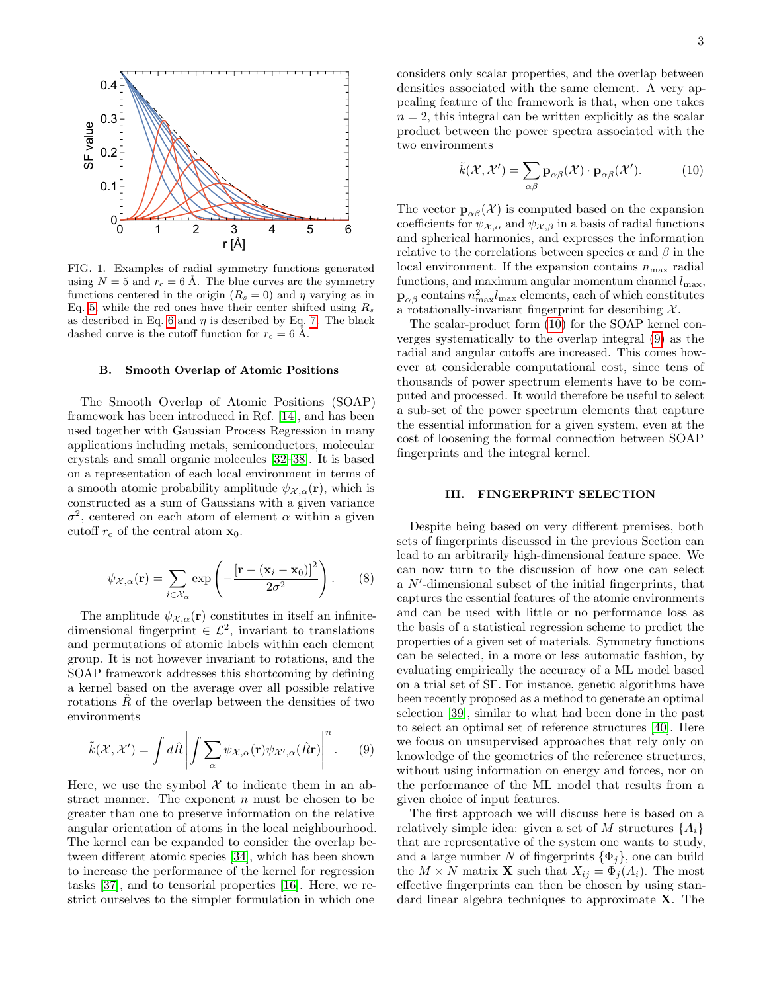

<span id="page-2-0"></span>FIG. 1. Examples of radial symmetry functions generated using  $N = 5$  and  $r_c = 6$  Å. The blue curves are the symmetry functions centered in the origin  $(R_s = 0)$  and  $\eta$  varying as in Eq. [5,](#page-1-2) while the red ones have their center shifted using  $R_s$ as described in Eq. [6](#page-1-3) and  $\eta$  is described by Eq. [7.](#page-1-4) The black dashed curve is the cutoff function for  $r_c = 6 \text{ Å}.$ 

#### B. Smooth Overlap of Atomic Positions

The Smooth Overlap of Atomic Positions (SOAP) framework has been introduced in Ref. [\[14\]](#page-9-9), and has been used together with Gaussian Process Regression in many applications including metals, semiconductors, molecular crystals and small organic molecules [\[32–](#page-9-16)[38\]](#page-9-17). It is based on a representation of each local environment in terms of a smooth atomic probability amplitude  $\psi_{\mathcal{X},\alpha}(\mathbf{r})$ , which is constructed as a sum of Gaussians with a given variance  $\sigma^2$ , centered on each atom of element  $\alpha$  within a given cutoff  $r_c$  of the central atom  $\mathbf{x}_0$ .

$$
\psi_{\mathcal{X},\alpha}(\mathbf{r}) = \sum_{i \in \mathcal{X}_{\alpha}} \exp\left(-\frac{[\mathbf{r} - (\mathbf{x}_i - \mathbf{x}_0)]^2}{2\sigma^2}\right).
$$
 (8)

The amplitude  $\psi_{\mathcal{X},\alpha}(\mathbf{r})$  constitutes in itself an infinitedimensional fingerprint  $\in \mathcal{L}^2$ , invariant to translations and permutations of atomic labels within each element group. It is not however invariant to rotations, and the SOAP framework addresses this shortcoming by defining a kernel based on the average over all possible relative rotations  $\tilde{R}$  of the overlap between the densities of two environments

<span id="page-2-3"></span>
$$
\tilde{k}(\mathcal{X}, \mathcal{X}') = \int d\hat{R} \left| \int \sum_{\alpha} \psi_{\mathcal{X}, \alpha}(\mathbf{r}) \psi_{\mathcal{X}', \alpha}(\hat{R}\mathbf{r}) \right|^n. \tag{9}
$$

Here, we use the symbol  $\mathcal X$  to indicate them in an abstract manner. The exponent  $n$  must be chosen to be greater than one to preserve information on the relative angular orientation of atoms in the local neighbourhood. The kernel can be expanded to consider the overlap between different atomic species [\[34\]](#page-9-18), which has been shown to increase the performance of the kernel for regression tasks [\[37\]](#page-9-19), and to tensorial properties [\[16\]](#page-9-5). Here, we restrict ourselves to the simpler formulation in which one

considers only scalar properties, and the overlap between densities associated with the same element. A very appealing feature of the framework is that, when one takes  $n = 2$ , this integral can be written explicitly as the scalar product between the power spectra associated with the two environments

<span id="page-2-2"></span>
$$
\tilde{k}(\mathcal{X}, \mathcal{X}') = \sum_{\alpha \beta} \mathbf{p}_{\alpha \beta}(\mathcal{X}) \cdot \mathbf{p}_{\alpha \beta}(\mathcal{X}'). \tag{10}
$$

The vector  $\mathbf{p}_{\alpha\beta}(\mathcal{X})$  is computed based on the expansion coefficients for  $\psi_{\mathcal{X},\alpha}$  and  $\psi_{\mathcal{X},\beta}$  in a basis of radial functions and spherical harmonics, and expresses the information relative to the correlations between species  $\alpha$  and  $\beta$  in the local environment. If the expansion contains  $n_{\text{max}}$  radial functions, and maximum angular momentum channel  $l_{\text{max}}$ ,  $\mathbf{p}_{\alpha\beta}$  contains  $n_{\text{max}}^2 l_{\text{max}}$  elements, each of which constitutes a rotationally-invariant fingerprint for describing  $\mathcal{X}$ .

The scalar-product form [\(10\)](#page-2-2) for the SOAP kernel converges systematically to the overlap integral [\(9\)](#page-2-3) as the radial and angular cutoffs are increased. This comes however at considerable computational cost, since tens of thousands of power spectrum elements have to be computed and processed. It would therefore be useful to select a sub-set of the power spectrum elements that capture the essential information for a given system, even at the cost of loosening the formal connection between SOAP fingerprints and the integral kernel.

#### <span id="page-2-1"></span>III. FINGERPRINT SELECTION

Despite being based on very different premises, both sets of fingerprints discussed in the previous Section can lead to an arbitrarily high-dimensional feature space. We can now turn to the discussion of how one can select a  $N'$ -dimensional subset of the initial fingerprints, that captures the essential features of the atomic environments and can be used with little or no performance loss as the basis of a statistical regression scheme to predict the properties of a given set of materials. Symmetry functions can be selected, in a more or less automatic fashion, by evaluating empirically the accuracy of a ML model based on a trial set of SF. For instance, genetic algorithms have been recently proposed as a method to generate an optimal selection [\[39\]](#page-9-20), similar to what had been done in the past to select an optimal set of reference structures [\[40\]](#page-9-21). Here we focus on unsupervised approaches that rely only on knowledge of the geometries of the reference structures, without using information on energy and forces, nor on the performance of the ML model that results from a given choice of input features.

The first approach we will discuss here is based on a relatively simple idea: given a set of M structures  $\{A_i\}$ that are representative of the system one wants to study, and a large number N of fingerprints  $\{\Phi_j\}$ , one can build the  $M \times N$  matrix **X** such that  $X_{ij} = \Phi_j(A_i)$ . The most effective fingerprints can then be chosen by using standard linear algebra techniques to approximate  $X$ . The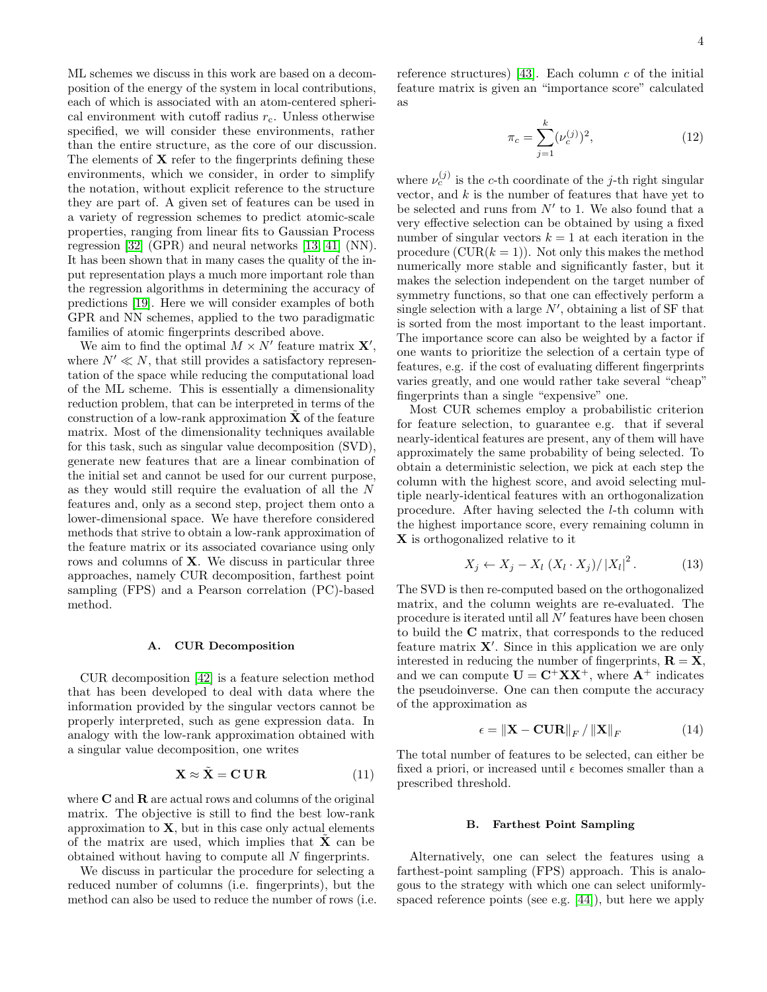ML schemes we discuss in this work are based on a decomposition of the energy of the system in local contributions, each of which is associated with an atom-centered spherical environment with cutoff radius  $r_c$ . Unless otherwise specified, we will consider these environments, rather than the entire structure, as the core of our discussion. The elements of  $X$  refer to the fingerprints defining these environments, which we consider, in order to simplify the notation, without explicit reference to the structure they are part of. A given set of features can be used in a variety of regression schemes to predict atomic-scale properties, ranging from linear fits to Gaussian Process regression [\[32\]](#page-9-16) (GPR) and neural networks [\[13,](#page-9-4) [41\]](#page-9-22) (NN). It has been shown that in many cases the quality of the input representation plays a much more important role than the regression algorithms in determining the accuracy of predictions [\[19\]](#page-9-7). Here we will consider examples of both GPR and NN schemes, applied to the two paradigmatic families of atomic fingerprints described above.

We aim to find the optimal  $M \times N'$  feature matrix  $\mathbf{X}'$ , where  $N' \ll N$ , that still provides a satisfactory representation of the space while reducing the computational load of the ML scheme. This is essentially a dimensionality reduction problem, that can be interpreted in terms of the construction of a low-rank approximation  $X$  of the feature matrix. Most of the dimensionality techniques available for this task, such as singular value decomposition (SVD), generate new features that are a linear combination of the initial set and cannot be used for our current purpose, as they would still require the evaluation of all the N features and, only as a second step, project them onto a lower-dimensional space. We have therefore considered methods that strive to obtain a low-rank approximation of the feature matrix or its associated covariance using only rows and columns of X. We discuss in particular three approaches, namely CUR decomposition, farthest point sampling (FPS) and a Pearson correlation (PC)-based method.

#### A. CUR Decomposition

CUR decomposition [\[42\]](#page-9-23) is a feature selection method that has been developed to deal with data where the information provided by the singular vectors cannot be properly interpreted, such as gene expression data. In analogy with the low-rank approximation obtained with a singular value decomposition, one writes

<span id="page-3-1"></span>
$$
\mathbf{X} \approx \tilde{\mathbf{X}} = \mathbf{C} \mathbf{U} \mathbf{R} \tag{11}
$$

where  $C$  and  $R$  are actual rows and columns of the original matrix. The objective is still to find the best low-rank approximation to  $X$ , but in this case only actual elements of the matrix are used, which implies that  $X$  can be obtained without having to compute all N fingerprints.

We discuss in particular the procedure for selecting a reduced number of columns (i.e. fingerprints), but the method can also be used to reduce the number of rows (i.e. reference structures) [\[43\]](#page-9-24). Each column  $c$  of the initial feature matrix is given an "importance score" calculated as

<span id="page-3-0"></span>
$$
\pi_c = \sum_{j=1}^{k} (\nu_c^{(j)})^2,
$$
\n(12)

where  $\nu_c^{(j)}$  is the c-th coordinate of the j-th right singular vector, and  $k$  is the number of features that have yet to be selected and runs from  $N'$  to 1. We also found that a very effective selection can be obtained by using a fixed number of singular vectors  $k = 1$  at each iteration in the procedure (CUR $(k = 1)$ ). Not only this makes the method numerically more stable and significantly faster, but it makes the selection independent on the target number of symmetry functions, so that one can effectively perform a single selection with a large  $N'$ , obtaining a list of SF that is sorted from the most important to the least important. The importance score can also be weighted by a factor if one wants to prioritize the selection of a certain type of features, e.g. if the cost of evaluating different fingerprints varies greatly, and one would rather take several "cheap" fingerprints than a single "expensive" one.

Most CUR schemes employ a probabilistic criterion for feature selection, to guarantee e.g. that if several nearly-identical features are present, any of them will have approximately the same probability of being selected. To obtain a deterministic selection, we pick at each step the column with the highest score, and avoid selecting multiple nearly-identical features with an orthogonalization procedure. After having selected the l-th column with the highest importance score, every remaining column in X is orthogonalized relative to it

$$
X_j \leftarrow X_j - X_l \left( X_l \cdot X_j \right) / \left| X_l \right|^2. \tag{13}
$$

The SVD is then re-computed based on the orthogonalized matrix, and the column weights are re-evaluated. The procedure is iterated until all  $N'$  features have been chosen to build the C matrix, that corresponds to the reduced feature matrix  $X'$ . Since in this application we are only interested in reducing the number of fingerprints,  $\mathbf{R} = \mathbf{X}$ , and we can compute  $\mathbf{U} = \mathbf{C}^+ \mathbf{X} \mathbf{X}^+$ , where  $\mathbf{A}^+$  indicates the pseudoinverse. One can then compute the accuracy of the approximation as

$$
\epsilon = \left\| \mathbf{X} - \mathbf{C} \mathbf{U} \mathbf{R} \right\|_F / \left\| \mathbf{X} \right\|_F \tag{14}
$$

The total number of features to be selected, can either be fixed a priori, or increased until  $\epsilon$  becomes smaller than a prescribed threshold.

#### B. Farthest Point Sampling

Alternatively, one can select the features using a farthest-point sampling (FPS) approach. This is analogous to the strategy with which one can select uniformlyspaced reference points (see e.g. [\[44\]](#page-9-25)), but here we apply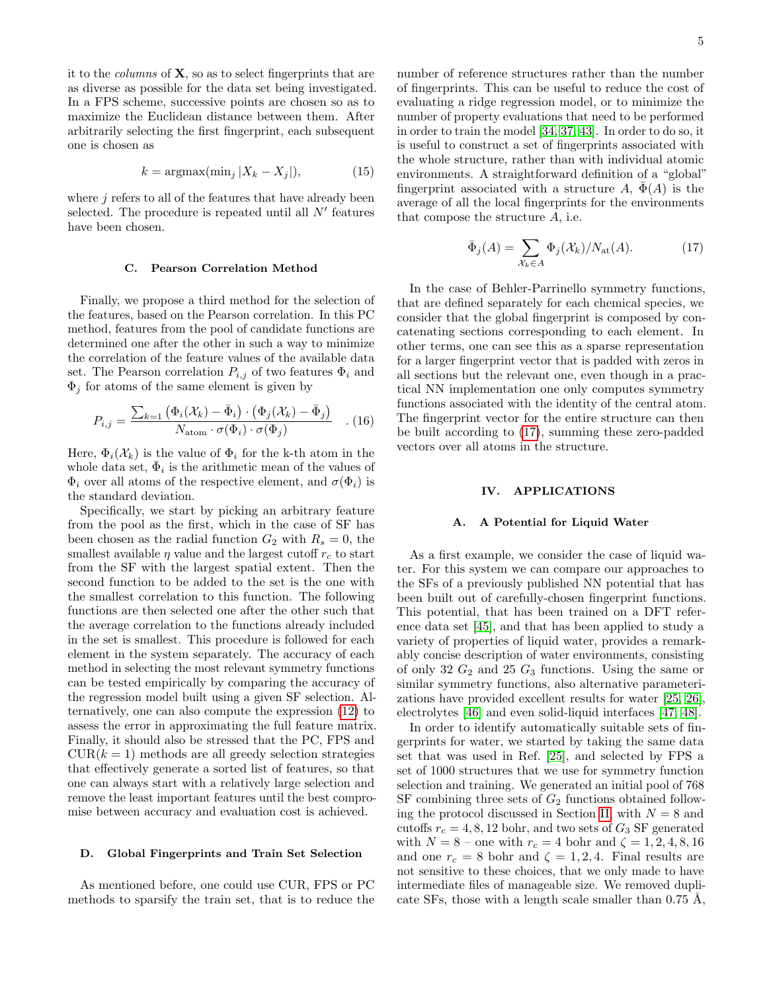it to the *columns* of  $X$ , so as to select fingerprints that are as diverse as possible for the data set being investigated. In a FPS scheme, successive points are chosen so as to maximize the Euclidean distance between them. After arbitrarily selecting the first fingerprint, each subsequent one is chosen as

$$
k = \operatorname{argmax}(\min_j |X_k - X_j|),\tag{15}
$$

where  $j$  refers to all of the features that have already been selected. The procedure is repeated until all  $N'$  features have been chosen.

### C. Pearson Correlation Method

Finally, we propose a third method for the selection of the features, based on the Pearson correlation. In this PC method, features from the pool of candidate functions are determined one after the other in such a way to minimize the correlation of the feature values of the available data set. The Pearson correlation  $P_{i,j}$  of two features  $\Phi_i$  and  $\Phi_i$  for atoms of the same element is given by

$$
P_{i,j} = \frac{\sum_{k=1} (\Phi_i(\mathcal{X}_k) - \bar{\Phi}_i) \cdot (\Phi_j(\mathcal{X}_k) - \bar{\Phi}_j)}{N_{\text{atom}} \cdot \sigma(\Phi_i) \cdot \sigma(\Phi_j)} \quad . \tag{16}
$$

Here,  $\Phi_i(\mathcal{X}_k)$  is the value of  $\Phi_i$  for the k-th atom in the whole data set,  $\bar{\Phi}_i$  is the arithmetic mean of the values of  $\Phi_i$  over all atoms of the respective element, and  $\sigma(\Phi_i)$  is the standard deviation.

Specifically, we start by picking an arbitrary feature from the pool as the first, which in the case of SF has been chosen as the radial function  $G_2$  with  $R_s = 0$ , the smallest available  $\eta$  value and the largest cutoff  $r_c$  to start from the SF with the largest spatial extent. Then the second function to be added to the set is the one with the smallest correlation to this function. The following functions are then selected one after the other such that the average correlation to the functions already included in the set is smallest. This procedure is followed for each element in the system separately. The accuracy of each method in selecting the most relevant symmetry functions can be tested empirically by comparing the accuracy of the regression model built using a given SF selection. Alternatively, one can also compute the expression [\(12\)](#page-3-0) to assess the error in approximating the full feature matrix. Finally, it should also be stressed that the PC, FPS and  $CUR(k = 1)$  methods are all greedy selection strategies that effectively generate a sorted list of features, so that one can always start with a relatively large selection and remove the least important features until the best compromise between accuracy and evaluation cost is achieved.

#### D. Global Fingerprints and Train Set Selection

As mentioned before, one could use CUR, FPS or PC methods to sparsify the train set, that is to reduce the number of reference structures rather than the number of fingerprints. This can be useful to reduce the cost of evaluating a ridge regression model, or to minimize the number of property evaluations that need to be performed in order to train the model [\[34,](#page-9-18) [37,](#page-9-19) [43\]](#page-9-24). In order to do so, it is useful to construct a set of fingerprints associated with the whole structure, rather than with individual atomic environments. A straightforward definition of a "global" fingerprint associated with a structure A,  $\bar{\Phi}(A)$  is the average of all the local fingerprints for the environments that compose the structure A, i.e.

<span id="page-4-1"></span>
$$
\bar{\Phi}_j(A) = \sum_{\mathcal{X}_k \in A} \Phi_j(\mathcal{X}_k) / N_{\text{at}}(A). \tag{17}
$$

In the case of Behler-Parrinello symmetry functions, that are defined separately for each chemical species, we consider that the global fingerprint is composed by concatenating sections corresponding to each element. In other terms, one can see this as a sparse representation for a larger fingerprint vector that is padded with zeros in all sections but the relevant one, even though in a practical NN implementation one only computes symmetry functions associated with the identity of the central atom. The fingerprint vector for the entire structure can then be built according to [\(17\)](#page-4-1), summing these zero-padded vectors over all atoms in the structure.

#### <span id="page-4-0"></span>IV. APPLICATIONS

## A. A Potential for Liquid Water

As a first example, we consider the case of liquid water. For this system we can compare our approaches to the SFs of a previously published NN potential that has been built out of carefully-chosen fingerprint functions. This potential, that has been trained on a DFT reference data set [\[45\]](#page-9-26), and that has been applied to study a variety of properties of liquid water, provides a remarkably concise description of water environments, consisting of only 32  $G_2$  and 25  $G_3$  functions. Using the same or similar symmetry functions, also alternative parameterizations have provided excellent results for water [\[25,](#page-9-27) [26\]](#page-9-11), electrolytes [\[46\]](#page-10-0) and even solid-liquid interfaces [\[47,](#page-10-1) [48\]](#page-10-2).

In order to identify automatically suitable sets of fingerprints for water, we started by taking the same data set that was used in Ref. [\[25\]](#page-9-27), and selected by FPS a set of 1000 structures that we use for symmetry function selection and training. We generated an initial pool of 768 SF combining three sets of  $G_2$  functions obtained follow-ing the protocol discussed in Section [II,](#page-1-0) with  $N = 8$  and cutoffs  $r_c = 4, 8, 12$  bohr, and two sets of  $G_3$  SF generated with  $N = 8$  – one with  $r_c = 4$  bohr and  $\zeta = 1, 2, 4, 8, 16$ and one  $r_c = 8$  bohr and  $\zeta = 1, 2, 4$ . Final results are not sensitive to these choices, that we only made to have intermediate files of manageable size. We removed duplicate SFs, those with a length scale smaller than  $0.75 \text{ Å}$ ,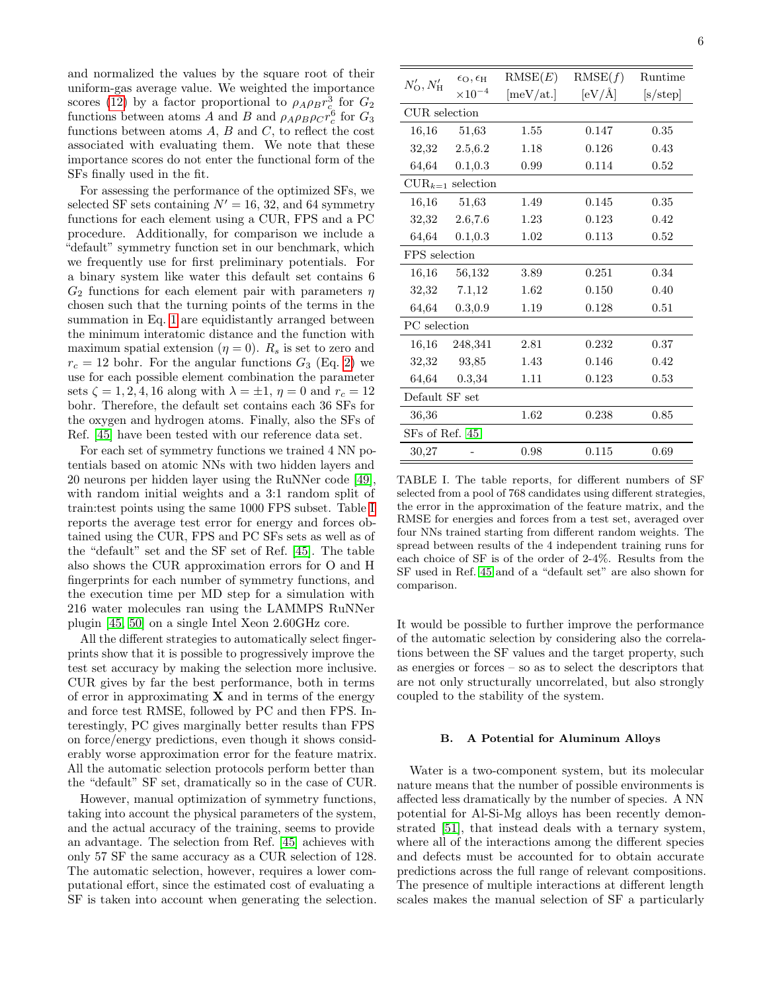and normalized the values by the square root of their uniform-gas average value. We weighted the importance scores [\(12\)](#page-3-0) by a factor proportional to  $\rho_A \rho_B r_{c}^3$  for  $G_2$ functions between atoms A and B and  $\rho_A \rho_B \rho_C r_c^6$  for  $G_3$ functions between atoms  $A, B$  and  $C$ , to reflect the cost associated with evaluating them. We note that these importance scores do not enter the functional form of the SFs finally used in the fit.

For assessing the performance of the optimized SFs, we selected SF sets containing  $N' = 16, 32,$  and 64 symmetry functions for each element using a CUR, FPS and a PC procedure. Additionally, for comparison we include a "default" symmetry function set in our benchmark, which we frequently use for first preliminary potentials. For a binary system like water this default set contains 6  $G_2$  functions for each element pair with parameters  $\eta$ chosen such that the turning points of the terms in the summation in Eq. [1](#page-1-5) are equidistantly arranged between the minimum interatomic distance and the function with maximum spatial extension  $(\eta = 0)$ .  $R_s$  is set to zero and  $r_c = 12$  bohr. For the angular functions  $G_3$  (Eq. [2\)](#page-1-6) we use for each possible element combination the parameter sets  $\zeta = 1, 2, 4, 16$  along with  $\lambda = \pm 1$ ,  $\eta = 0$  and  $r_c = 12$ bohr. Therefore, the default set contains each 36 SFs for the oxygen and hydrogen atoms. Finally, also the SFs of Ref. [\[45\]](#page-9-26) have been tested with our reference data set.

For each set of symmetry functions we trained 4 NN potentials based on atomic NNs with two hidden layers and 20 neurons per hidden layer using the RuNNer code [\[49\]](#page-10-3), with random initial weights and a 3:1 random split of train:test points using the same 1000 FPS subset. Table [I](#page-5-0) reports the average test error for energy and forces obtained using the CUR, FPS and PC SFs sets as well as of the "default" set and the SF set of Ref. [\[45\]](#page-9-26). The table also shows the CUR approximation errors for O and H fingerprints for each number of symmetry functions, and the execution time per MD step for a simulation with 216 water molecules ran using the LAMMPS RuNNer plugin [\[45,](#page-9-26) [50\]](#page-10-4) on a single Intel Xeon 2.60GHz core.

All the different strategies to automatically select fingerprints show that it is possible to progressively improve the test set accuracy by making the selection more inclusive. CUR gives by far the best performance, both in terms of error in approximating  $X$  and in terms of the energy and force test RMSE, followed by PC and then FPS. Interestingly, PC gives marginally better results than FPS on force/energy predictions, even though it shows considerably worse approximation error for the feature matrix. All the automatic selection protocols perform better than the "default" SF set, dramatically so in the case of CUR.

However, manual optimization of symmetry functions, taking into account the physical parameters of the system, and the actual accuracy of the training, seems to provide an advantage. The selection from Ref. [\[45\]](#page-9-26) achieves with only 57 SF the same accuracy as a CUR selection of 128. The automatic selection, however, requires a lower computational effort, since the estimated cost of evaluating a SF is taken into account when generating the selection.

| $N'_{\Omega}, N'_{\rm H}$    | $\epsilon_O, \epsilon_H$ | RMSE(E)   | RMSE(f) | Runtime  |  |  |
|------------------------------|--------------------------|-----------|---------|----------|--|--|
|                              | $\times 10^{-4}$         | [meV/at.] | [eV/Å]  | [s/step] |  |  |
| CUR selection                |                          |           |         |          |  |  |
| 16,16                        | 51,63                    | 1.55      | 0.147   | 0.35     |  |  |
| 32,32                        | 2.5,6.2                  | 1.18      | 0.126   | 0.43     |  |  |
| 64,64                        | 0.1, 0.3                 | 0.99      | 0.114   | 0.52     |  |  |
| $\text{CUR}_{k=1}$ selection |                          |           |         |          |  |  |
| 16,16                        | 51,63                    | 1.49      | 0.145   | 0.35     |  |  |
| 32,32                        | 2.6,7.6                  | 1.23      | 0.123   | 0.42     |  |  |
| 64,64                        | 0.1, 0.3                 | 1.02      | 0.113   | 0.52     |  |  |
| FPS selection                |                          |           |         |          |  |  |
| 16,16                        | 56,132                   | 3.89      | 0.251   | 0.34     |  |  |
| 32,32                        | 7.1,12                   | 1.62      | 0.150   | 0.40     |  |  |
| 64,64                        | 0.3, 0.9                 | 1.19      | 0.128   | 0.51     |  |  |
| PC selection                 |                          |           |         |          |  |  |
| 16,16                        | 248,341                  | 2.81      | 0.232   | 0.37     |  |  |
| 32,32                        | 93,85                    | 1.43      | 0.146   | 0.42     |  |  |
| 64,64                        | 0.3, 34                  | 1.11      | 0.123   | 0.53     |  |  |
| Default SF set               |                          |           |         |          |  |  |
| 36,36                        |                          | 1.62      | 0.238   | 0.85     |  |  |
| SFs of Ref. 45               |                          |           |         |          |  |  |
| 30,27                        |                          | 0.98      | 0.115   | 0.69     |  |  |

<span id="page-5-0"></span>TABLE I. The table reports, for different numbers of SF selected from a pool of 768 candidates using different strategies, the error in the approximation of the feature matrix, and the RMSE for energies and forces from a test set, averaged over four NNs trained starting from different random weights. The spread between results of the 4 independent training runs for each choice of SF is of the order of 2-4%. Results from the SF used in Ref. [45](#page-9-26) and of a "default set" are also shown for comparison.

It would be possible to further improve the performance of the automatic selection by considering also the correlations between the SF values and the target property, such as energies or forces – so as to select the descriptors that are not only structurally uncorrelated, but also strongly coupled to the stability of the system.

## B. A Potential for Aluminum Alloys

Water is a two-component system, but its molecular nature means that the number of possible environments is affected less dramatically by the number of species. A NN potential for Al-Si-Mg alloys has been recently demonstrated [\[51\]](#page-10-5), that instead deals with a ternary system, where all of the interactions among the different species and defects must be accounted for to obtain accurate predictions across the full range of relevant compositions. The presence of multiple interactions at different length scales makes the manual selection of SF a particularly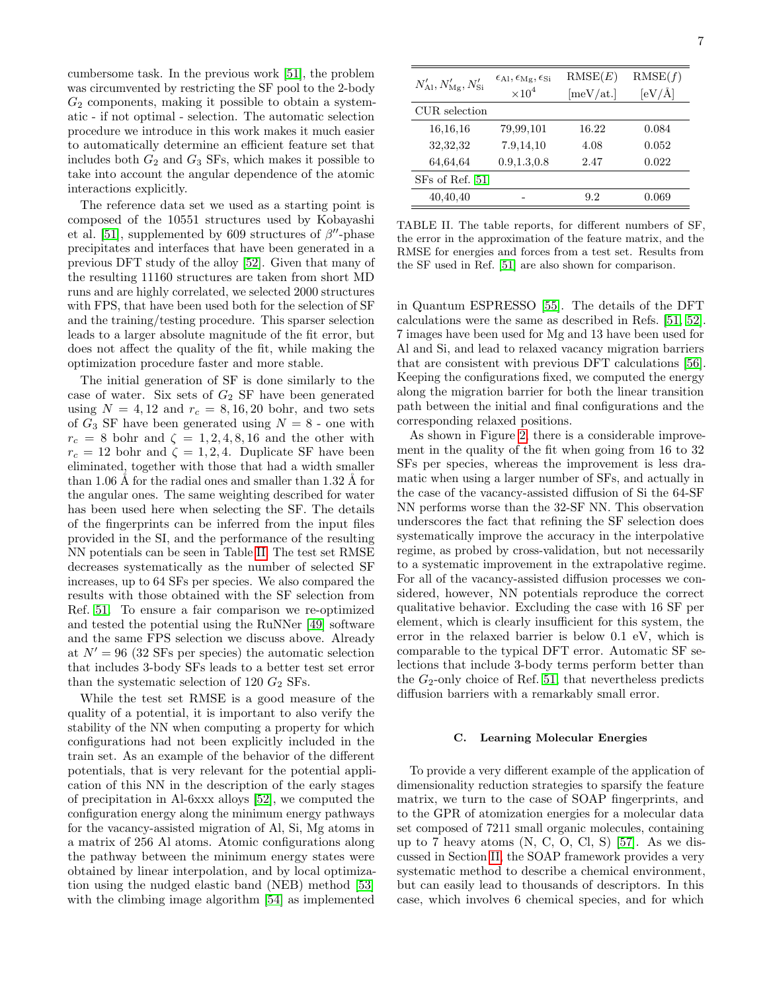cumbersome task. In the previous work [\[51\]](#page-10-5), the problem was circumvented by restricting the SF pool to the 2-body  $G_2$  components, making it possible to obtain a systematic - if not optimal - selection. The automatic selection procedure we introduce in this work makes it much easier to automatically determine an efficient feature set that includes both  $G_2$  and  $G_3$  SFs, which makes it possible to take into account the angular dependence of the atomic interactions explicitly.

The reference data set we used as a starting point is composed of the 10551 structures used by Kobayashi et al. [\[51\]](#page-10-5), supplemented by 609 structures of  $\beta''$ -phase precipitates and interfaces that have been generated in a previous DFT study of the alloy [\[52\]](#page-10-6). Given that many of the resulting 11160 structures are taken from short MD runs and are highly correlated, we selected 2000 structures with FPS, that have been used both for the selection of SF and the training/testing procedure. This sparser selection leads to a larger absolute magnitude of the fit error, but does not affect the quality of the fit, while making the optimization procedure faster and more stable.

The initial generation of SF is done similarly to the case of water. Six sets of  $G_2$  SF have been generated using  $N = 4, 12$  and  $r_c = 8, 16, 20$  bohr, and two sets of  $G_3$  SF have been generated using  $N = 8$  - one with  $r_c = 8$  bohr and  $\zeta = 1, 2, 4, 8, 16$  and the other with  $r_c = 12$  bohr and  $\zeta = 1, 2, 4$ . Duplicate SF have been eliminated, together with those that had a width smaller than 1.06  $\AA$  for the radial ones and smaller than 1.32  $\AA$  for the angular ones. The same weighting described for water has been used here when selecting the SF. The details of the fingerprints can be inferred from the input files provided in the SI, and the performance of the resulting NN potentials can be seen in Table [II.](#page-6-0) The test set RMSE decreases systematically as the number of selected SF increases, up to 64 SFs per species. We also compared the results with those obtained with the SF selection from Ref. [51.](#page-10-5) To ensure a fair comparison we re-optimized and tested the potential using the RuNNer [\[49\]](#page-10-3) software and the same FPS selection we discuss above. Already at  $N' = 96$  (32 SFs per species) the automatic selection that includes 3-body SFs leads to a better test set error than the systematic selection of 120  $G_2$  SFs.

While the test set RMSE is a good measure of the quality of a potential, it is important to also verify the stability of the NN when computing a property for which configurations had not been explicitly included in the train set. As an example of the behavior of the different potentials, that is very relevant for the potential application of this NN in the description of the early stages of precipitation in Al-6xxx alloys [\[52\]](#page-10-6), we computed the configuration energy along the minimum energy pathways for the vacancy-assisted migration of Al, Si, Mg atoms in a matrix of 256 Al atoms. Atomic configurations along the pathway between the minimum energy states were obtained by linear interpolation, and by local optimization using the nudged elastic band (NEB) method [\[53\]](#page-10-7) with the climbing image algorithm [\[54\]](#page-10-8) as implemented

| $N'_{\rm Al}, N'_{\rm Mg}, N'_{\rm Si}$ | $\epsilon_{\text{Al}}, \epsilon_{\text{Mg}}, \epsilon_{\text{Si}}$ | RMSE(E)   | RMSE(f)    |  |  |
|-----------------------------------------|--------------------------------------------------------------------|-----------|------------|--|--|
|                                         | $\times 10^4$                                                      | [meV/at.] | $[eV/\AA]$ |  |  |
| CUR selection                           |                                                                    |           |            |  |  |
| 16, 16, 16                              | 79,99,101                                                          | 16.22     | 0.084      |  |  |
| 32,32,32                                | 7.9,14,10                                                          | 4.08      | 0.052      |  |  |
| 64,64,64                                | 0.9, 1.3, 0.8                                                      | 2.47      | 0.022      |  |  |
| SFs of Ref. 51                          |                                                                    |           |            |  |  |
| 40,40,40                                |                                                                    | 9.2       | 0.069      |  |  |

<span id="page-6-0"></span>TABLE II. The table reports, for different numbers of SF, the error in the approximation of the feature matrix, and the RMSE for energies and forces from a test set. Results from the SF used in Ref. [\[51\]](#page-10-5) are also shown for comparison.

in Quantum ESPRESSO [\[55\]](#page-10-9). The details of the DFT calculations were the same as described in Refs. [\[51,](#page-10-5) [52\]](#page-10-6). 7 images have been used for Mg and 13 have been used for Al and Si, and lead to relaxed vacancy migration barriers that are consistent with previous DFT calculations [\[56\]](#page-10-10). Keeping the configurations fixed, we computed the energy along the migration barrier for both the linear transition path between the initial and final configurations and the corresponding relaxed positions.

As shown in Figure [2,](#page-7-0) there is a considerable improvement in the quality of the fit when going from 16 to 32 SFs per species, whereas the improvement is less dramatic when using a larger number of SFs, and actually in the case of the vacancy-assisted diffusion of Si the 64-SF NN performs worse than the 32-SF NN. This observation underscores the fact that refining the SF selection does systematically improve the accuracy in the interpolative regime, as probed by cross-validation, but not necessarily to a systematic improvement in the extrapolative regime. For all of the vacancy-assisted diffusion processes we considered, however, NN potentials reproduce the correct qualitative behavior. Excluding the case with 16 SF per element, which is clearly insufficient for this system, the error in the relaxed barrier is below 0.1 eV, which is comparable to the typical DFT error. Automatic SF selections that include 3-body terms perform better than the  $G_2$ -only choice of Ref. [51,](#page-10-5) that nevertheless predicts diffusion barriers with a remarkably small error.

## C. Learning Molecular Energies

To provide a very different example of the application of dimensionality reduction strategies to sparsify the feature matrix, we turn to the case of SOAP fingerprints, and to the GPR of atomization energies for a molecular data set composed of 7211 small organic molecules, containing up to 7 heavy atoms  $(N, C, O, Cl, S)$  [\[57\]](#page-10-11). As we discussed in Section [II,](#page-1-0) the SOAP framework provides a very systematic method to describe a chemical environment, but can easily lead to thousands of descriptors. In this case, which involves 6 chemical species, and for which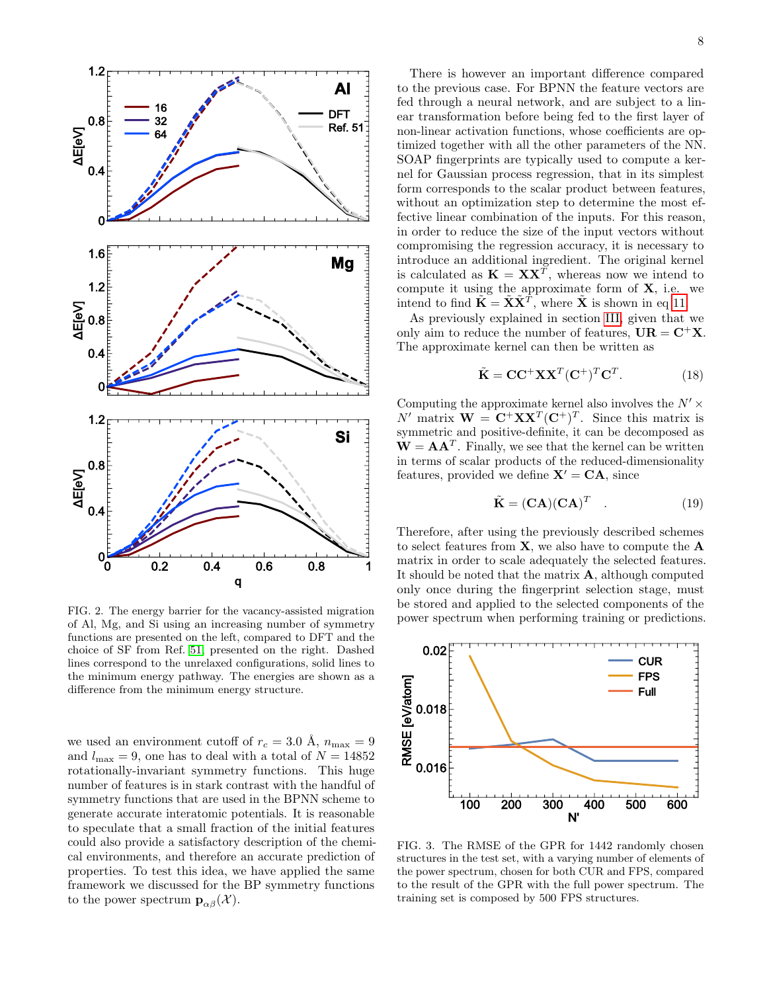

<span id="page-7-0"></span>FIG. 2. The energy barrier for the vacancy-assisted migration of Al, Mg, and Si using an increasing number of symmetry functions are presented on the left, compared to DFT and the choice of SF from Ref. [51,](#page-10-5) presented on the right. Dashed lines correspond to the unrelaxed configurations, solid lines to the minimum energy pathway. The energies are shown as a difference from the minimum energy structure.

we used an environment cutoff of  $r_c = 3.0 \text{ Å}, n_{\text{max}} = 9$ and  $l_{\text{max}} = 9$ , one has to deal with a total of  $N = 14852$ rotationally-invariant symmetry functions. This huge number of features is in stark contrast with the handful of symmetry functions that are used in the BPNN scheme to generate accurate interatomic potentials. It is reasonable to speculate that a small fraction of the initial features could also provide a satisfactory description of the chemical environments, and therefore an accurate prediction of properties. To test this idea, we have applied the same framework we discussed for the BP symmetry functions to the power spectrum  $\mathbf{p}_{\alpha\beta}(\mathcal{X})$ .

There is however an important difference compared to the previous case. For BPNN the feature vectors are fed through a neural network, and are subject to a linear transformation before being fed to the first layer of non-linear activation functions, whose coefficients are optimized together with all the other parameters of the NN. SOAP fingerprints are typically used to compute a kernel for Gaussian process regression, that in its simplest form corresponds to the scalar product between features, without an optimization step to determine the most effective linear combination of the inputs. For this reason, in order to reduce the size of the input vectors without compromising the regression accuracy, it is necessary to introduce an additional ingredient. The original kernel is calculated as  $\mathbf{K} = \mathbf{X} \mathbf{X}^T$ , whereas now we intend to compute it using the approximate form of  $X$ , i.e. we intend to find  $\tilde{\mathbf{K}} = \tilde{\mathbf{X}} \tilde{\mathbf{X}}^T$ , where  $\tilde{\mathbf{X}}$  is shown in eq [11.](#page-3-1)

As previously explained in section [III,](#page-2-1) given that we only aim to reduce the number of features,  $\mathbf{UR} = \mathbf{C}^+ \mathbf{X}$ . The approximate kernel can then be written as

$$
\tilde{\mathbf{K}} = \mathbf{C}\mathbf{C}^+ \mathbf{X} \mathbf{X}^T (\mathbf{C}^+)^T \mathbf{C}^T.
$$
 (18)

Computing the approximate kernel also involves the  $N' \times$ N' matrix  $\mathbf{W} = \mathbf{C}^{+} \mathbf{X} \mathbf{X}^{T} (\mathbf{C}^{+})^{T}$ . Since this matrix is symmetric and positive-definite, it can be decomposed as  $\mathbf{W} = \mathbf{A} \mathbf{A}^T$ . Finally, we see that the kernel can be written in terms of scalar products of the reduced-dimensionality features, provided we define  $X' = CA$ , since

$$
\tilde{\mathbf{K}} = (\mathbf{CA})(\mathbf{CA})^T \quad . \tag{19}
$$

Therefore, after using the previously described schemes to select features from  $X$ , we also have to compute the  $A$ matrix in order to scale adequately the selected features. It should be noted that the matrix A, although computed only once during the fingerprint selection stage, must be stored and applied to the selected components of the power spectrum when performing training or predictions.



<span id="page-7-1"></span>FIG. 3. The RMSE of the GPR for 1442 randomly chosen structures in the test set, with a varying number of elements of the power spectrum, chosen for both CUR and FPS, compared to the result of the GPR with the full power spectrum. The training set is composed by 500 FPS structures.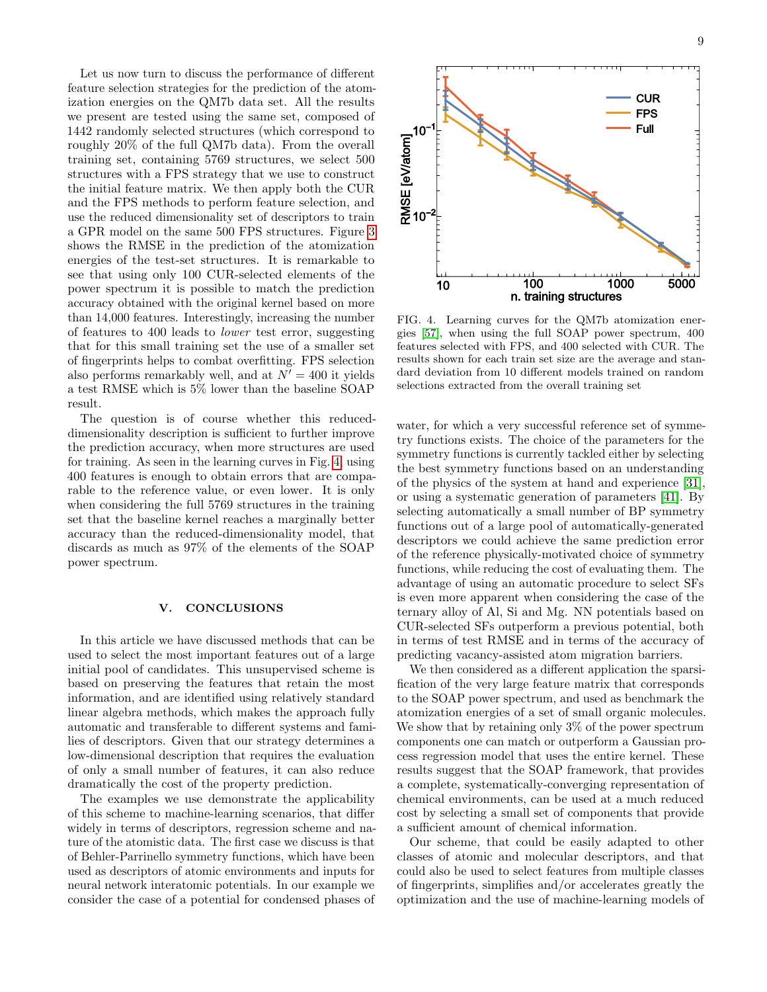Let us now turn to discuss the performance of different feature selection strategies for the prediction of the atomization energies on the QM7b data set. All the results we present are tested using the same set, composed of 1442 randomly selected structures (which correspond to roughly 20% of the full QM7b data). From the overall training set, containing 5769 structures, we select 500 structures with a FPS strategy that we use to construct the initial feature matrix. We then apply both the CUR and the FPS methods to perform feature selection, and use the reduced dimensionality set of descriptors to train a GPR model on the same 500 FPS structures. Figure [3](#page-7-1) shows the RMSE in the prediction of the atomization energies of the test-set structures. It is remarkable to see that using only 100 CUR-selected elements of the power spectrum it is possible to match the prediction accuracy obtained with the original kernel based on more than 14,000 features. Interestingly, increasing the number of features to 400 leads to lower test error, suggesting that for this small training set the use of a smaller set of fingerprints helps to combat overfitting. FPS selection also performs remarkably well, and at  $N' = 400$  it yields a test RMSE which is 5% lower than the baseline SOAP result.

The question is of course whether this reduceddimensionality description is sufficient to further improve the prediction accuracy, when more structures are used for training. As seen in the learning curves in Fig. [4,](#page-8-0) using 400 features is enough to obtain errors that are comparable to the reference value, or even lower. It is only when considering the full 5769 structures in the training set that the baseline kernel reaches a marginally better accuracy than the reduced-dimensionality model, that discards as much as 97% of the elements of the SOAP power spectrum.

#### V. CONCLUSIONS

In this article we have discussed methods that can be used to select the most important features out of a large initial pool of candidates. This unsupervised scheme is based on preserving the features that retain the most information, and are identified using relatively standard linear algebra methods, which makes the approach fully automatic and transferable to different systems and families of descriptors. Given that our strategy determines a low-dimensional description that requires the evaluation of only a small number of features, it can also reduce dramatically the cost of the property prediction.

The examples we use demonstrate the applicability of this scheme to machine-learning scenarios, that differ widely in terms of descriptors, regression scheme and nature of the atomistic data. The first case we discuss is that of Behler-Parrinello symmetry functions, which have been used as descriptors of atomic environments and inputs for neural network interatomic potentials. In our example we consider the case of a potential for condensed phases of



<span id="page-8-0"></span>FIG. 4. Learning curves for the QM7b atomization energies [\[57\]](#page-10-11), when using the full SOAP power spectrum, 400 features selected with FPS, and 400 selected with CUR. The results shown for each train set size are the average and standard deviation from 10 different models trained on random selections extracted from the overall training set

water, for which a very successful reference set of symmetry functions exists. The choice of the parameters for the symmetry functions is currently tackled either by selecting the best symmetry functions based on an understanding of the physics of the system at hand and experience [\[31\]](#page-9-15), or using a systematic generation of parameters [\[41\]](#page-9-22). By selecting automatically a small number of BP symmetry functions out of a large pool of automatically-generated descriptors we could achieve the same prediction error of the reference physically-motivated choice of symmetry functions, while reducing the cost of evaluating them. The advantage of using an automatic procedure to select SFs is even more apparent when considering the case of the ternary alloy of Al, Si and Mg. NN potentials based on CUR-selected SFs outperform a previous potential, both in terms of test RMSE and in terms of the accuracy of predicting vacancy-assisted atom migration barriers.

We then considered as a different application the sparsification of the very large feature matrix that corresponds to the SOAP power spectrum, and used as benchmark the atomization energies of a set of small organic molecules. We show that by retaining only 3% of the power spectrum components one can match or outperform a Gaussian process regression model that uses the entire kernel. These results suggest that the SOAP framework, that provides a complete, systematically-converging representation of chemical environments, can be used at a much reduced cost by selecting a small set of components that provide a sufficient amount of chemical information.

Our scheme, that could be easily adapted to other classes of atomic and molecular descriptors, and that could also be used to select features from multiple classes of fingerprints, simplifies and/or accelerates greatly the optimization and the use of machine-learning models of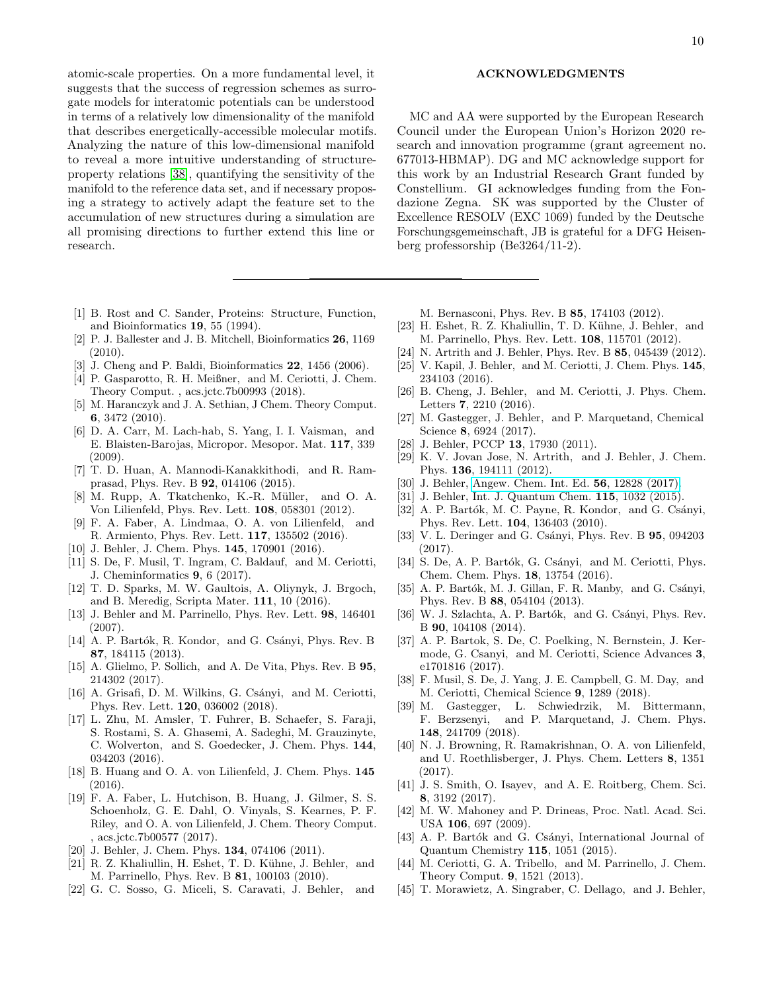atomic-scale properties. On a more fundamental level, it suggests that the success of regression schemes as surrogate models for interatomic potentials can be understood in terms of a relatively low dimensionality of the manifold that describes energetically-accessible molecular motifs. Analyzing the nature of this low-dimensional manifold to reveal a more intuitive understanding of structureproperty relations [\[38\]](#page-9-17), quantifying the sensitivity of the manifold to the reference data set, and if necessary proposing a strategy to actively adapt the feature set to the accumulation of new structures during a simulation are all promising directions to further extend this line or research.

- <span id="page-9-0"></span>[1] B. Rost and C. Sander, Proteins: Structure, Function, and Bioinformatics 19, 55 (1994).
- [2] P. J. Ballester and J. B. Mitchell, Bioinformatics 26, 1169 (2010).
- [3] J. Cheng and P. Baldi, Bioinformatics 22, 1456 (2006).
- [4] P. Gasparotto, R. H. Meißner, and M. Ceriotti, J. Chem. Theory Comput. , acs.jctc.7b00993 (2018).
- [5] M. Haranczyk and J. A. Sethian, J Chem. Theory Comput. 6, 3472 (2010).
- <span id="page-9-1"></span>[6] D. A. Carr, M. Lach-hab, S. Yang, I. I. Vaisman, and E. Blaisten-Barojas, Micropor. Mesopor. Mat. 117, 339 (2009).
- <span id="page-9-2"></span>[7] T. D. Huan, A. Mannodi-Kanakkithodi, and R. Ramprasad, Phys. Rev. B 92, 014106 (2015).
- [8] M. Rupp, A. Tkatchenko, K.-R. Müller, and O. A. Von Lilienfeld, Phys. Rev. Lett. 108, 058301 (2012).
- [9] F. A. Faber, A. Lindmaa, O. A. von Lilienfeld, and R. Armiento, Phys. Rev. Lett. 117, 135502 (2016).
- [10] J. Behler, J. Chem. Phys. **145**, 170901 (2016).
- [11] S. De, F. Musil, T. Ingram, C. Baldauf, and M. Ceriotti, J. Cheminformatics 9, 6 (2017).
- <span id="page-9-3"></span>[12] T. D. Sparks, M. W. Gaultois, A. Oliynyk, J. Brgoch, and B. Meredig, Scripta Mater. 111, 10 (2016).
- <span id="page-9-4"></span>[13] J. Behler and M. Parrinello, Phys. Rev. Lett. 98, 146401 (2007).
- <span id="page-9-9"></span>[14] A. P. Bartók, R. Kondor, and G. Csányi, Phys. Rev. B 87, 184115 (2013).
- [15] A. Glielmo, P. Sollich, and A. De Vita, Phys. Rev. B 95, 214302 (2017).
- <span id="page-9-5"></span>[16] A. Grisafi, D. M. Wilkins, G. Csányi, and M. Ceriotti, Phys. Rev. Lett. 120, 036002 (2018).
- <span id="page-9-6"></span>[17] L. Zhu, M. Amsler, T. Fuhrer, B. Schaefer, S. Faraji, S. Rostami, S. A. Ghasemi, A. Sadeghi, M. Grauzinyte, C. Wolverton, and S. Goedecker, J. Chem. Phys. 144, 034203 (2016).
- [18] B. Huang and O. A. von Lilienfeld, J. Chem. Phys.  $145$ (2016).
- <span id="page-9-7"></span>[19] F. A. Faber, L. Hutchison, B. Huang, J. Gilmer, S. S. Schoenholz, G. E. Dahl, O. Vinyals, S. Kearnes, P. F. Riley, and O. A. von Lilienfeld, J. Chem. Theory Comput. , acs.jctc.7b00577 (2017).
- <span id="page-9-8"></span>[20] J. Behler, J. Chem. Phys. **134**, 074106 (2011).
- <span id="page-9-10"></span>[21] R. Z. Khaliullin, H. Eshet, T. D. Kühne, J. Behler, and M. Parrinello, Phys. Rev. B 81, 100103 (2010).
- [22] G. C. Sosso, G. Miceli, S. Caravati, J. Behler, and

#### ACKNOWLEDGMENTS

MC and AA were supported by the European Research Council under the European Union's Horizon 2020 research and innovation programme (grant agreement no. 677013-HBMAP). DG and MC acknowledge support for this work by an Industrial Research Grant funded by Constellium. GI acknowledges funding from the Fondazione Zegna. SK was supported by the Cluster of Excellence RESOLV (EXC 1069) funded by the Deutsche Forschungsgemeinschaft, JB is grateful for a DFG Heisenberg professorship (Be3264/11-2).

M. Bernasconi, Phys. Rev. B 85, 174103 (2012).

- [23] H. Eshet, R. Z. Khaliullin, T. D. Kühne, J. Behler, and M. Parrinello, Phys. Rev. Lett. 108, 115701 (2012).
- [24] N. Artrith and J. Behler, Phys. Rev. B 85, 045439 (2012).
- <span id="page-9-27"></span>[25] V. Kapil, J. Behler, and M. Ceriotti, J. Chem. Phys. 145, 234103 (2016).
- <span id="page-9-11"></span>[26] B. Cheng, J. Behler, and M. Ceriotti, J. Phys. Chem. Letters 7, 2210 (2016).
- <span id="page-9-12"></span>[27] M. Gastegger, J. Behler, and P. Marquetand, Chemical Science 8, 6924 (2017).
- <span id="page-9-13"></span>[28] J. Behler, PCCP **13**, 17930 (2011).
- [29] K. V. Jovan Jose, N. Artrith, and J. Behler, J. Chem. Phys. 136, 194111 (2012).
- <span id="page-9-14"></span>[30] J. Behler, [Angew. Chem. Int. Ed.](http://dx.doi.org/10.1002/anie.201703114) 56, 12828 (2017).
- <span id="page-9-15"></span>[31] J. Behler, Int. J. Quantum Chem. **115**, 1032 (2015).
- <span id="page-9-16"></span>[32] A. P. Bartók, M. C. Payne, R. Kondor, and G. Csányi, Phys. Rev. Lett. 104, 136403 (2010).
- [33] V. L. Deringer and G. Csányi, Phys. Rev. B **95**, 094203 (2017).
- <span id="page-9-18"></span>[34] S. De, A. P. Bartók, G. Csányi, and M. Ceriotti, Phys. Chem. Chem. Phys. 18, 13754 (2016).
- [35] A. P. Bartók, M. J. Gillan, F. R. Manby, and G. Csányi, Phys. Rev. B 88, 054104 (2013).
- [36] W. J. Szlachta, A. P. Bartók, and G. Csányi, Phys. Rev. B 90, 104108 (2014).
- <span id="page-9-19"></span>[37] A. P. Bartok, S. De, C. Poelking, N. Bernstein, J. Kermode, G. Csanyi, and M. Ceriotti, Science Advances 3, e1701816 (2017).
- <span id="page-9-17"></span>[38] F. Musil, S. De, J. Yang, J. E. Campbell, G. M. Day, and M. Ceriotti, Chemical Science 9, 1289 (2018).
- <span id="page-9-20"></span>[39] M. Gastegger, L. Schwiedrzik, M. Bittermann, F. Berzsenyi, and P. Marquetand, J. Chem. Phys. 148, 241709 (2018).
- <span id="page-9-21"></span>[40] N. J. Browning, R. Ramakrishnan, O. A. von Lilienfeld, and U. Roethlisberger, J. Phys. Chem. Letters 8, 1351 (2017).
- <span id="page-9-22"></span>[41] J. S. Smith, O. Isayev, and A. E. Roitberg, Chem. Sci. 8, 3192 (2017).
- <span id="page-9-23"></span>[42] M. W. Mahoney and P. Drineas, Proc. Natl. Acad. Sci. USA 106, 697 (2009).
- <span id="page-9-24"></span>[43] A. P. Bartók and G. Csányi, International Journal of Quantum Chemistry 115, 1051 (2015).
- <span id="page-9-25"></span>[44] M. Ceriotti, G. A. Tribello, and M. Parrinello, J. Chem. Theory Comput. 9, 1521 (2013).
- <span id="page-9-26"></span>[45] T. Morawietz, A. Singraber, C. Dellago, and J. Behler,